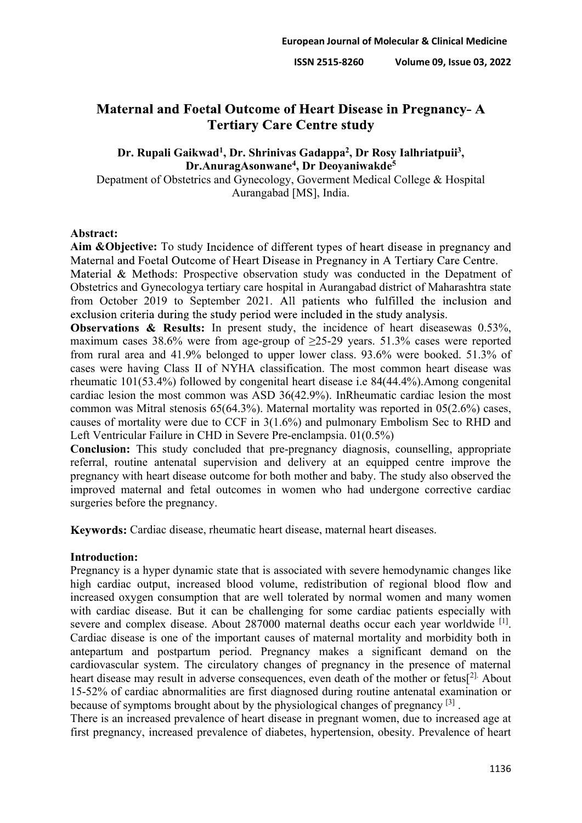# **Maternal and Foetal Outcome of Heart Disease in Pregnancy-A Tertiary Care Centre study**

**Dr. Rupali Gaikwad1, Dr. Shrinivas Gadappa2, Dr Rosy Ialhriatpuii3, Dr.AnuragAsonwane4, Dr Deoyaniwakde5**

Depatment of Obstetrics and Gynecology, Goverment Medical College & Hospital Aurangabad [MS], India.

## **Abstract:**

Aim **&Objective:** To study Incidence of different types of heart disease in pregnancy and Maternal and Foetal Outcome of Heart Disease in Pregnancy in A Tertiary Care Centre.

Material  $\&$  Methods: Prospective observation study was conducted in the Depatment of Obstetrics and Gynecologya tertiary care hospital in Aurangabad district of Maharashtra state from October 2019 to September 2021. All patients who fulfilled the inclusion and exclusion criteria during the study period were included in the study analysis.

Observations & Results: In present study, the incidence of heart diseasewas 0.53%, maximum cases 38.6% were from age-group of  $\geq$ 25-29 years. 51.3% cases were reported from rural area and 41.9% belonged to upper lower class. 93.6% were booked. 51.3% of cases were having Class II of NYHA classification. The most common heart disease was rheumatic 101(53.4%) followed by congenital heart disease i.e 84(44.4%).Among congenital cardiac lesion the most common was ASD 36(42.9%). InRheumatic cardiac lesion the most common was Mitral stenosis 65(64.3%). Maternal mortality was reported in 05(2.6%) cases, causes of mortality were due to CCF in 3(1.6%) and pulmonary Embolism Sec to RHD and Left Ventricular Failure in CHD in Severe Pre-enclampsia. 01(0.5%)

**Conclusion:** This study concluded that pre-pregnancy diagnosis, counselling, appropriate referral, routine antenatal supervision and delivery at an equipped centre improve the pregnancy with heart disease outcome for both mother and baby. The study also observed the improved maternal and fetal outcomes in women who had undergone corrective cardiac surgeries before the pregnancy.

Keywords: Cardiac disease, rheumatic heart disease, maternal heart diseases.

#### **Introduction:**

Pregnancy is a hyper dynamic state that is associated with severe hemodynamic changes like high cardiac output, increased blood volume, redistribution of regional blood flow and increased oxygen consumption that are well tolerated by normal women and many women with cardiac disease. But it can be challenging for some cardiac patients especially with severe and complex disease. About 287000 maternal deaths occur each year worldwide <sup>[1]</sup>. Cardiac disease is one of the important causes of maternal mortality and morbidity both in antepartum and postpartum period. Pregnancy makes a significant demand on the cardiovascular system. The circulatory changes of pregnancy in the presence of maternal heart disease may result in adverse consequences, even death of the mother or fetus<sup>[2].</sup> About 15-52% of cardiac abnormalities are first diagnosed during routine antenatal examination or because of symptoms brought about by the physiological changes of pregnancy [3] .

There is an increased prevalence of heart disease in pregnant women, due to increased age at first pregnancy, increased prevalence of diabetes, hypertension, obesity. Prevalence of heart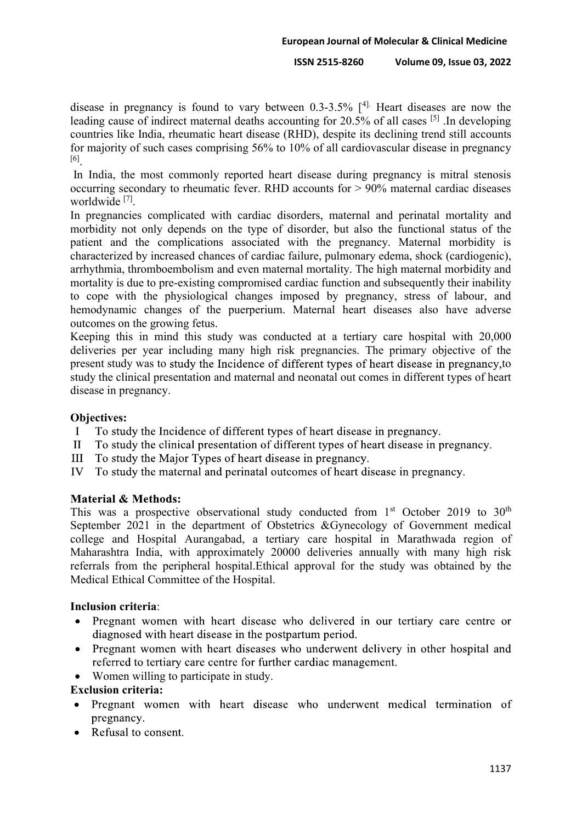#### **European Journal of Molecular & Clinical Medicine**

**ISSN 2515-8260 Volume 09, Issue 03, 2022**

disease in pregnancy is found to vary between  $0.3$ -3.5%  $[4]$ . Heart diseases are now the leading cause of indirect maternal deaths accounting for 20.5% of all cases [5] .In developing countries like India, rheumatic heart disease (RHD), despite its declining trend still accounts for majority of such cases comprising 56% to 10% of all cardiovascular disease in pregnancy [6].

In India, the most commonly reported heart disease during pregnancy is mitral stenosis occurring secondary to rheumatic fever. RHD accounts for > 90% maternal cardiac diseases worldwide [7].

In pregnancies complicated with cardiac disorders, maternal and perinatal mortality and morbidity not only depends on the type of disorder, but also the functional status of the patient and the complications associated with the pregnancy. Maternal morbidity is characterized by increased chances of cardiac failure, pulmonary edema, shock (cardiogenic), arrhythmia, thromboembolism and even maternal mortality. The high maternal morbidity and mortality is due to pre-existing compromised cardiac function and subsequently their inability to cope with the physiological changes imposed by pregnancy, stress of labour, and hemodynamic changes of the puerperium. Maternal heart diseases also have adverse outcomes on the growing fetus.

Keeping this in mind this study was conducted at a tertiary care hospital with 20,000 deliveries per year including many high risk pregnancies. The primary objective of the present study was to study the Incidence of different types of heart disease in pregnancy, to study the clinical presentation and maternal and neonatal out comes in different types of heart disease in pregnancy.

## **Objectives:**

- To study the Incidence of different types of heart disease in pregnancy.  $\mathbf{I}$
- $\mathbf{I}$ To study the clinical presentation of different types of heart disease in pregnancy.
- $III$ To study the Major Types of heart disease in pregnancy.
- IV To study the maternal and perinatal outcomes of heart disease in pregnancy.

## **Material & Methods:**

This was a prospective observational study conducted from  $1<sup>st</sup>$  October 2019 to  $30<sup>th</sup>$ September 2021 in the department of Obstetrics &Gynecology of Government medical college and Hospital Aurangabad, a tertiary care hospital in Marathwada region of Maharashtra India, with approximately 20000 deliveries annually with many high risk referrals from the peripheral hospital.Ethical approval for the study was obtained by the Medical Ethical Committee of the Hospital.

## **Inclusion criteria**:

- Pregnant women with heart disease who delivered in our tertiary care centre or  $\bullet$ diagnosed with heart disease in the postpartum period.
- Pregnant women with heart diseases who underwent delivery in other hospital and  $\bullet$ referred to tertiary care centre for further cardiac management.
- Women willing to participate in study.

# **Exclusion criteria:**

- Pregnant women with heart disease who underwent medical termination of pregnancy.
- Refusal to consent.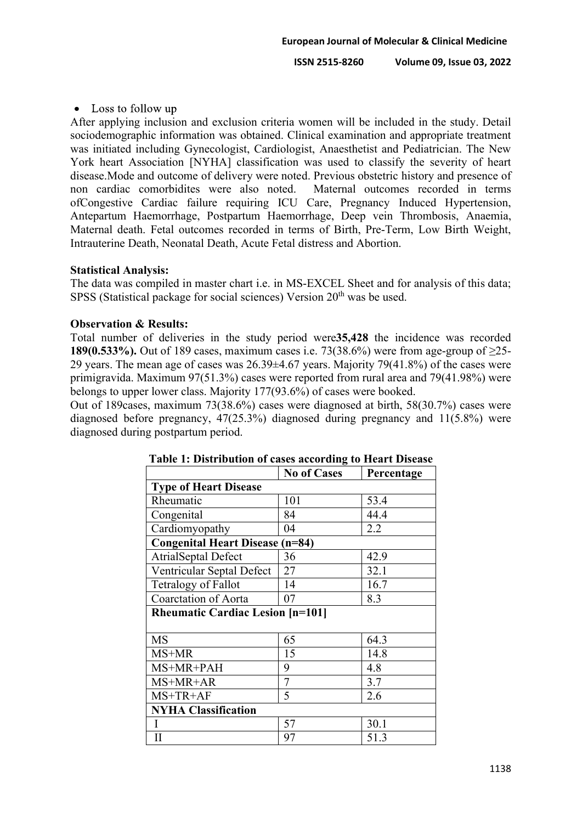## $\bullet$  Loss to follow up

After applying inclusion and exclusion criteria women will be included in the study. Detail sociodemographic information was obtained. Clinical examination and appropriate treatment was initiated including Gynecologist, Cardiologist, Anaesthetist and Pediatrician. The New York heart Association [NYHA] classification was used to classify the severity of heart disease. Mode and outcome of delivery were noted. Previous obstetric history and presence of non cardiac comorbidites were also noted. Maternal outcomes recorded in terms non cardiac comorbidites were also noted. ofCongestive Cardiac failure requiring ICU Care, Pregnancy Induced Hypertension, Antepartum Haemorrhage, Postpartum Haemorrhage, Deep vein Thrombosis, Anaemia, Maternal death. Fetal outcomes recorded in terms of Birth, Pre-Term, Low Birth Weight, Intrauterine Death, Neonatal Death, Acute Fetal distress and Abortion.

#### **Statistical Analysis:**

The data was compiled in master chart i.e. in MS-EXCEL Sheet and for analysis of this data; SPSS (Statistical package for social sciences) Version  $20<sup>th</sup>$  was be used.

#### **Observation & Results:**

Total number of deliveries in the study period were**35,428** the incidence was recorded **189(0.533%).** Out of 189 cases, maximum cases i.e. 73(38.6%) were from age-group of  $\geq$ 25-29 years. The mean age of cases was 26.39±4.67 years. Majority 79(41.8%) of the cases were primigravida. Maximum 97(51.3%) cases were reported from rural area and 79(41.98%) were belongs to upper lower class. Majority 177(93.6%) of cases were booked.

Out of 189cases, maximum 73(38.6%) cases were diagnosed at birth, 58(30.7%) cases were diagnosed before pregnancy, 47(25.3%) diagnosed during pregnancy and 11(5.8%) were diagnosed during postpartum period.

|                                         | <b>No of Cases</b> | Percentage |  |
|-----------------------------------------|--------------------|------------|--|
| <b>Type of Heart Disease</b>            |                    |            |  |
| Rheumatic                               | 101                | 53.4       |  |
| Congenital                              | 84                 | 44.4       |  |
| Cardiomyopathy                          | 04                 | 2.2        |  |
| <b>Congenital Heart Disease (n=84)</b>  |                    |            |  |
| <b>AtrialSeptal Defect</b>              | 36                 | 42.9       |  |
| Ventricular Septal Defect               | 27                 | 32.1       |  |
| Tetralogy of Fallot                     | 14                 | 16.7       |  |
| <b>Coarctation of Aorta</b>             | 07                 | 8.3        |  |
| <b>Rheumatic Cardiac Lesion [n=101]</b> |                    |            |  |
|                                         |                    |            |  |
| <b>MS</b>                               | 65                 | 64.3       |  |
| MS+MR                                   | 15                 | 14.8       |  |
| MS+MR+PAH                               | 9                  | 4.8        |  |
| MS+MR+AR                                | 7                  | 3.7        |  |
| MS+TR+AF                                | 5                  | 2.6        |  |
| <b>NYHA Classification</b>              |                    |            |  |
|                                         | 57                 | 30.1       |  |
| $\mathbf{I}$                            | 97                 | 51.3       |  |

#### **Table 1: Distribution of cases according to Heart Disease**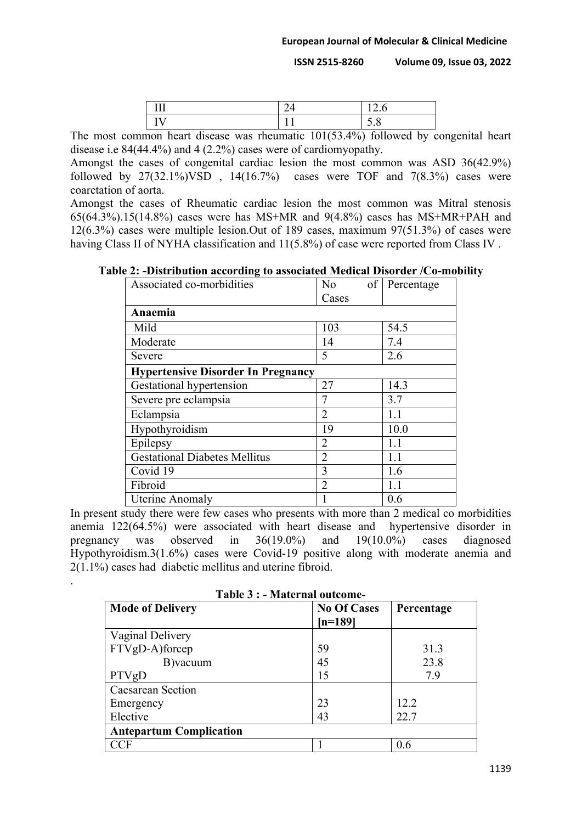| тŦ<br>. | . v                  |
|---------|----------------------|
| -- -    | ັ<br>$\cdot$ $\circ$ |

The most common heart disease was rheumatic 101(53.4%) followed by congenital heart disease i.e 84(44.4%) and 4 (2.2%) cases were of cardiomyopathy.

Amongst the cases of congenital cardiac lesion the most common was ASD 36(42.9%) followed by  $27(32.1\%)$ VSD,  $14(16.7\%)$  cases were TOF and  $7(8.3\%)$  cases were coarctation of aorta.

Amongst the cases of Rheumatic cardiac lesion the most common was Mitral stenosis 65(64.3%).15(14.8%) cases were has MS+MR and 9(4.8%) cases has MS+MR+PAH and 12(6.3%) cases were multiple lesion.Out of 189 cases, maximum 97(51.3%) of cases were having Class II of NYHA classification and  $11(5.8%)$  of case were reported from Class IV.

**Table 2: -Distribution according to associated Medical Disorder /Co-mobility**

| Associated co-morbidities                 | $\overline{N}_{0}$ | of<br>Percentage |
|-------------------------------------------|--------------------|------------------|
|                                           | Cases              |                  |
| Anaemia                                   |                    |                  |
| Mild                                      | 103                | 54.5             |
| Moderate                                  | 14                 | 7.4              |
| Severe                                    | 5                  | 2.6              |
| <b>Hypertensive Disorder In Pregnancy</b> |                    |                  |
| Gestational hypertension                  | 27                 | 14.3             |
| Severe pre eclampsia                      |                    | 3.7              |
| Eclampsia                                 | $\overline{2}$     | 1.1              |
| Hypothyroidism                            | 19                 | 10.0             |
| Epilepsy                                  | $\overline{2}$     | 1.1              |
| <b>Gestational Diabetes Mellitus</b>      | 2                  | 1.1              |
| Covid 19                                  | 3                  | 1.6              |
| Fibroid                                   | $\overline{2}$     | 1.1              |
| <b>Uterine Anomaly</b>                    |                    | 0.6              |

In present study there were few cases who presents with more than 2 medical co morbidities anemia 122(64.5%) were associated with heart disease and hypertensive disorder in pregnancy was observed in 36(19.0%) and 19(10.0%) cases diagnosed Hypothyroidism.3(1.6%) cases were Covid-19 positive along with moderate anemia and 2(1.1%) cases had diabetic mellitus and uterine fibroid.

| <b>Mode of Delivery</b> | <b>No Of Cases</b><br>$[n=189]$ | Percentage |
|-------------------------|---------------------------------|------------|
| Vaginal Delivery        |                                 |            |
| FTVgD-A)forcep          | 59                              | 31.3       |
| B) vacuum               | 45                              | 23.8       |
| PTVgD                   |                                 | 79         |

 $CCF$  1 0.6

23 43

12.2 22.7

**Table 3 : - Maternal outcome-**

.

Emergency Elective

Caesarean Section

**Antepartum Complication**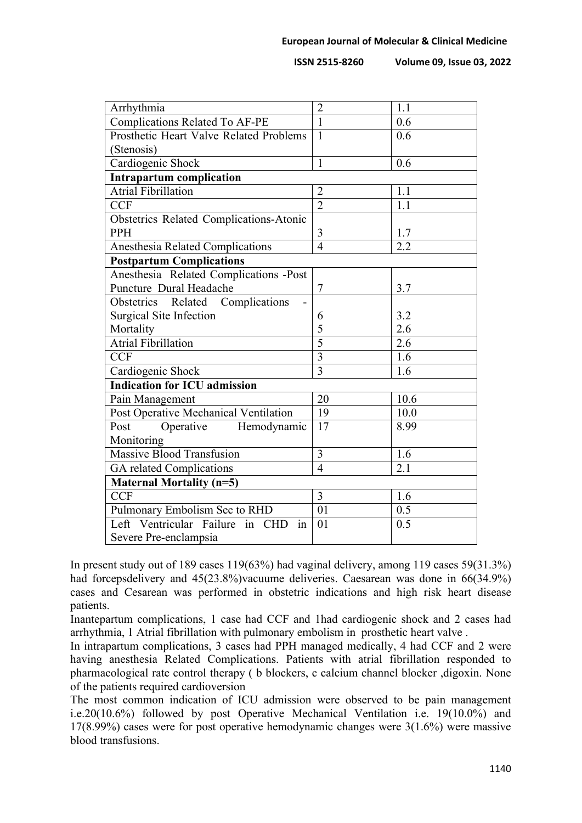| Arrhythmia                                     | $\overline{2}$ | 1.1  |
|------------------------------------------------|----------------|------|
| <b>Complications Related To AF-PE</b>          | $\mathbf{1}$   | 0.6  |
| Prosthetic Heart Valve Related Problems        | $\mathbf{1}$   | 0.6  |
| (Stenosis)                                     |                |      |
| Cardiogenic Shock                              | 1              | 0.6  |
| <b>Intrapartum complication</b>                |                |      |
| <b>Atrial Fibrillation</b>                     | $\overline{2}$ | 1.1  |
| <b>CCF</b>                                     | $\overline{2}$ | 1.1  |
| <b>Obstetrics Related Complications-Atonic</b> |                |      |
| <b>PPH</b>                                     | 3              | 1.7  |
| Anesthesia Related Complications               | $\overline{4}$ | 2.2  |
| <b>Postpartum Complications</b>                |                |      |
| Anesthesia Related Complications -Post         |                |      |
| Puncture Dural Headache                        | 7              | 3.7  |
| Obstetrics Related Complications               |                |      |
| <b>Surgical Site Infection</b>                 | 6              | 3.2  |
| Mortality                                      | 5              | 2.6  |
| Atrial Fibrillation                            | $\overline{5}$ | 2.6  |
| <b>CCF</b>                                     | $\overline{3}$ | 1.6  |
| Cardiogenic Shock                              | $\overline{3}$ | 1.6  |
| <b>Indication for ICU admission</b>            |                |      |
| Pain Management                                | 20             | 10.6 |
| Post Operative Mechanical Ventilation          | 19             | 10.0 |
| Operative Hemodynamic<br>Post                  | 17             | 8.99 |
| Monitoring                                     |                |      |
| Massive Blood Transfusion                      | 3              | 1.6  |
| GA related Complications                       | $\overline{4}$ | 2.1  |
| <b>Maternal Mortality (n=5)</b>                |                |      |
| <b>CCF</b>                                     | 3              | 1.6  |
| Pulmonary Embolism Sec to RHD                  | 01             | 0.5  |
| Left Ventricular Failure in CHD<br>in          | 01             | 0.5  |
| Severe Pre-enclampsia                          |                |      |
|                                                |                |      |

In present study out of 189 cases 119(63%) had vaginal delivery, among 119 cases 59(31.3%) had forcepsdelivery and 45(23.8%)vacuume deliveries. Caesarean was done in 66(34.9%) cases and Cesarean was performed in obstetric indications and high risk heart disease patients.

Inantepartum complications, 1 case had CCF and 1had cardiogenic shock and 2 cases had arrhythmia, 1 Atrial fibrillation with pulmonary embolism in prosthetic heart valve .

In intrapartum complications, 3 cases had PPH managed medically, 4 had CCF and 2 were having anesthesia Related Complications. Patients with atrial fibrillation responded to pharmacological rate control therapy ( b blockers, c calcium channel blocker ,digoxin. None of the patients required cardioversion

The most common indication of ICU admission were observed to be pain management i.e.20(10.6%) followed by post Operative Mechanical Ventilation i.e. 19(10.0%) and 17(8.99%) cases were for post operative hemodynamic changes were 3(1.6%) were massive blood transfusions.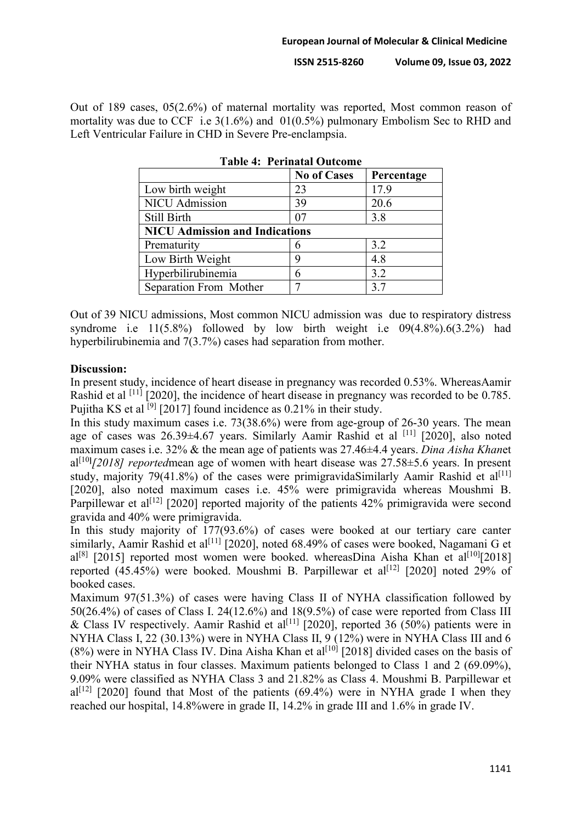Out of 189 cases, 05(2.6%) of maternal mortality was reported, Most common reason of mortality was due to CCF i.e 3(1.6%) and 01(0.5%) pulmonary Embolism Sec to RHD and Left Ventricular Failure in CHD in Severe Pre-enclampsia.

|                                       | <b>No of Cases</b> | Percentage |
|---------------------------------------|--------------------|------------|
| Low birth weight                      | 23                 | 17.9       |
| <b>NICU</b> Admission                 | 39                 | 20.6       |
| Still Birth                           | 07                 | 3.8        |
| <b>NICU Admission and Indications</b> |                    |            |
| Prematurity                           |                    | 3.2        |
| Low Birth Weight                      |                    | 4.8        |
| Hyperbilirubinemia                    |                    | 3.2        |
| Separation From Mother                |                    | 3.7        |

**Table 4: Perinatal Outcome**

Out of 39 NICU admissions, Most common NICU admission was due to respiratory distress syndrome i.e  $11(5.8\%)$  followed by low birth weight i.e  $09(4.8\%)$ .6(3.2%) had hyperbilirubinemia and 7(3.7%) cases had separation from mother.

#### **Discussion:**

In present study, incidence of heart disease in pregnancy was recorded 0.53%. WhereasAamir Rashid et al <sup>[11]</sup> [2020], the incidence of heart disease in pregnancy was recorded to be 0.785. Pujitha KS et al  $^{[9]}$  [2017] found incidence as 0.21% in their study.

In this study maximum cases i.e. 73(38.6%) were from age-group of 26-30 years. The mean age of cases was  $26.39\pm4.67$  years. Similarly Aamir Rashid et al <sup>[11]</sup> [2020], also noted maximum cases i.e. 32% & the mean age of patients was 27.46±4.4 years. *Dina Aisha Khan*et al[10**]** *[2018] reported*mean age of women with heart disease was 27.58±5.6 years. In present study, majority 79(41.8%) of the cases were primigravida Similarly Aamir Rashid et al<sup>[11]</sup> [2020], also noted maximum cases i.e. 45% were primigravida whereas Moushmi B. Parpillewar et al<sup>[12]</sup> [2020] reported majority of the patients 42% primigravida were second gravida and 40% were primigravida.

In this study majority of 177(93.6%) of cases were booked at our tertiary care canter similarly, Aamir Rashid et al<sup>[11]</sup> [2020], noted 68.49% of cases were booked, Nagamani G et al<sup>[8]</sup> [2015] reported most women were booked. whereasDina Aisha Khan et al<sup>[10]</sup>[2018] reported  $(45.45%)$  were booked. Moushmi B. Parpillewar et al<sup>[12]</sup> [2020] noted 29% of booked cases.

Maximum 97(51.3%) of cases were having Class II of NYHA classification followed by 50(26.4%) of cases of Class I. 24(12.6%) and 18(9.5%) of case were reported from Class III & Class IV respectively. Aamir Rashid et al<sup>[11]</sup> [2020], reported 36 (50%) patients were in NYHA Class I, 22 (30.13%) were in NYHA Class II, 9 (12%) were in NYHA Class III and 6  $(8\%)$  were in NYHA Class IV. Dina Aisha Khan et al<sup>[10]</sup> [2018] divided cases on the basis of their NYHA status in four classes. Maximum patients belonged to Class 1 and 2 (69.09%), 9.09% were classified as NYHA Class 3 and 21.82% as Class 4. Moushmi B. Parpillewar et  $a^{[12]}$  [2020] found that Most of the patients (69.4%) were in NYHA grade I when they reached our hospital, 14.8%were in grade II, 14.2% in grade III and 1.6% in grade IV.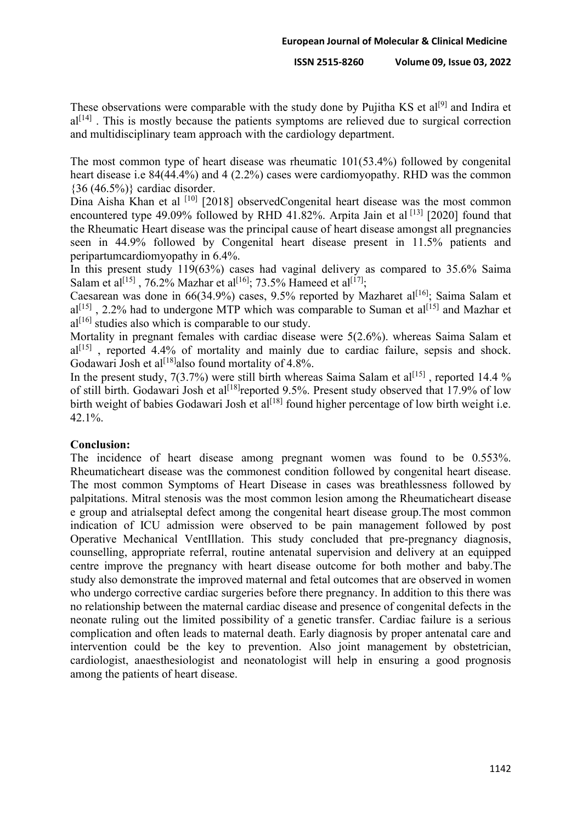These observations were comparable with the study done by Pujitha KS et al<sup>[9]</sup> and Indira et al<sup>[14]</sup>. This is mostly because the patients symptoms are relieved due to surgical correction and multidisciplinary team approach with the cardiology department.

The most common type of heart disease was rheumatic 101(53.4%) followed by congenital heart disease i.e 84(44.4%) and 4 (2.2%) cases were cardiomyopathy. RHD was the common {36 (46.5%)} cardiac disorder.

Dina Aisha Khan et al <sup>[10]</sup> [2018] observedCongenital heart disease was the most common encountered type 49.09% followed by RHD 41.82%. Arpita Jain et al  $^{[13]}$  [2020] found that the Rheumatic Heart disease was the principal cause of heart disease amongst all pregnancies seen in 44.9% followed by Congenital heart disease present in 11.5% patients and peripartumcardiomyopathy in 6.4%.

In this present study 119(63%) cases had vaginal delivery as compared to 35.6% Saima Salam et al<sup>[15]</sup>, 76.2% Mazhar et al<sup>[16]</sup>; 73.5% Hameed et al<sup>[17]</sup>;

Caesarean was done in  $66(34.9%)$  cases, 9.5% reported by Mazharet al<sup>[16]</sup>; Saima Salam et  $a^{[15]}$ , 2.2% had to undergone MTP which was comparable to Suman et  $a^{[15]}$  and Mazhar et  $a^{[16]}$  studies also which is comparable to our study.

Mortality in pregnant females with cardiac disease were 5(2.6%). whereas Saima Salam et  $al^{[15]}$ , reported 4.4% of mortality and mainly due to cardiac failure, sepsis and shock. Godawari Josh et al<sup>[18]</sup>also found mortality of 4.8%.

In the present study,  $7(3.7%)$  were still birth whereas Saima Salam et al<sup>[15]</sup>, reported 14.4 % of still birth. Godawari Josh et al<sup>[18]</sup>reported 9.5%. Present study observed that 17.9% of low birth weight of babies Godawari Josh et al<sup>[18]</sup> found higher percentage of low birth weight i.e. 42.1%.

## **Conclusion:**

The incidence of heart disease among pregnant women was found to be 0.553%. Rheumaticheart disease was the commonest condition followed by congenital heart disease. The most common Symptoms of Heart Disease in cases was breathlessness followed by palpitations. Mitral stenosis was the most common lesion among the Rheumaticheart disease e group and atrialseptal defect among the congenital heart disease group.The most common indication of ICU admission were observed to be pain management followed by post Operative Mechanical VentIllation. This study concluded that pre-pregnancy diagnosis, counselling, appropriate referral, routine antenatal supervision and delivery at an equipped centre improve the pregnancy with heart disease outcome for both mother and baby.The study also demonstrate the improved maternal and fetal outcomes that are observed in women who undergo corrective cardiac surgeries before there pregnancy. In addition to this there was no relationship between the maternal cardiac disease and presence of congenital defects in the neonate ruling out the limited possibility of a genetic transfer. Cardiac failure is a serious complication and often leads to maternal death. Early diagnosis by proper antenatal care and intervention could be the key to prevention. Also joint management by obstetrician, cardiologist, anaesthesiologist and neonatologist will help in ensuring a good prognosis among the patients of heart disease.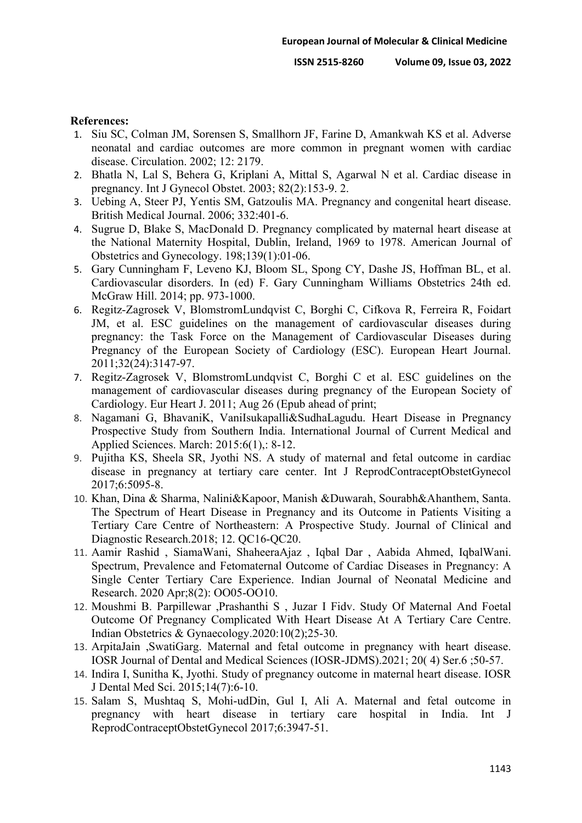#### **References:**

- 1. Siu SC, Colman JM, Sorensen S, Smallhorn JF, Farine D, Amankwah KS et al. Adverse neonatal and cardiac outcomes are more common in pregnant women with cardiac disease. Circulation. 2002; 12: 2179.
- 2. Bhatla N, Lal S, Behera G, Kriplani A, Mittal S, Agarwal N et al. Cardiac disease in pregnancy. Int J Gynecol Obstet. 2003; 82(2):153-9. 2.
- 3. Uebing A, Steer PJ, Yentis SM, Gatzoulis MA. Pregnancy and congenital heart disease. British Medical Journal. 2006; 332:401-6.
- 4. Sugrue D, Blake S, MacDonald D. Pregnancy complicated by maternal heart disease at the National Maternity Hospital, Dublin, Ireland, 1969 to 1978. American Journal of Obstetrics and Gynecology. 198;139(1):01-06.
- 5. Gary Cunningham F, Leveno KJ, Bloom SL, Spong CY, Dashe JS, Hoffman BL, et al. Cardiovascular disorders. In (ed) F. Gary Cunningham Williams Obstetrics 24th ed. McGraw Hill. 2014; pp. 973-1000.
- 6. Regitz-Zagrosek V, BlomstromLundqvist C, Borghi C, Cifkova R, Ferreira R, Foidart JM, et al. ESC guidelines on the management of cardiovascular diseases during pregnancy: the Task Force on the Management of Cardiovascular Diseases during Pregnancy of the European Society of Cardiology (ESC). European Heart Journal. 2011;32(24):3147-97.
- 7. Regitz-Zagrosek V, BlomstromLundqvist C, Borghi C et al. ESC guidelines on the management of cardiovascular diseases during pregnancy of the European Society of Cardiology. Eur Heart J. 2011; Aug 26 (Epub ahead of print;
- 8. Nagamani G, BhavaniK, VaniIsukapalli&SudhaLagudu. Heart Disease in Pregnancy Prospective Study from Southern India. International Journal of Current Medical and Applied Sciences. March: 2015:6(1),: 8-12.
- 9. Pujitha KS, Sheela SR, Jyothi NS. A study of maternal and fetal outcome in cardiac disease in pregnancy at tertiary care center. Int J ReprodContraceptObstetGynecol 2017;6:5095-8.
- 10. Khan, Dina & Sharma, Nalini&Kapoor, Manish &Duwarah, Sourabh&Ahanthem, Santa. The Spectrum of Heart Disease in Pregnancy and its Outcome in Patients Visiting a Tertiary Care Centre of Northeastern: A Prospective Study. Journal of Clinical and Diagnostic Research.2018; 12. QC16-QC20.
- 11. Aamir Rashid , SiamaWani, ShaheeraAjaz , Iqbal Dar , Aabida Ahmed, IqbalWani. Spectrum, Prevalence and Fetomaternal Outcome of Cardiac Diseases in Pregnancy: A Single Center Tertiary Care Experience. Indian Journal of Neonatal Medicine and Research. 2020 Apr;8(2): OO05-OO10.
- 12. Moushmi B. Parpillewar ,Prashanthi S , Juzar I Fidv. Study Of Maternal And Foetal Outcome Of Pregnancy Complicated With Heart Disease At A Tertiary Care Centre. Indian Obstetrics & Gynaecology.2020:10(2);25-30.
- 13. ArpitaJain ,SwatiGarg. Maternal and fetal outcome in pregnancy with heart disease. IOSR Journal of Dental and Medical Sciences (IOSR-JDMS).2021; 20( 4) Ser.6 ;50-57.
- 14. Indira I, Sunitha K, Jyothi. Study of pregnancy outcome in maternal heart disease. IOSR J Dental Med Sci. 2015;14(7):6-10.
- 15. Salam S, Mushtaq S, Mohi-udDin, Gul I, Ali A. Maternal and fetal outcome in pregnancy with heart disease in tertiary care hospital in India. Int J ReprodContraceptObstetGynecol 2017;6:3947-51.